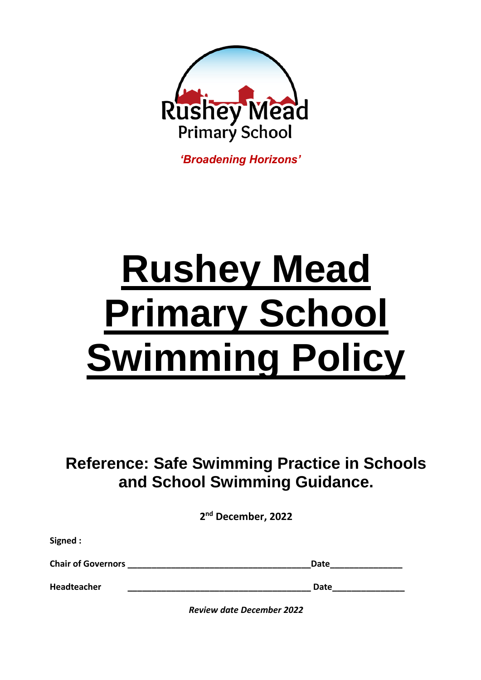

*'Broadening Horizons'*

# **Rushey Mead Primary School Swimming Policy**

**Reference: Safe Swimming Practice in Schools and School Swimming Guidance.** 

**2 nd December, 2022**

| <b>Chair of Governors</b> | Date |
|---------------------------|------|
| <b>Headteacher</b>        | Date |

**Signed :** 

*Review date December 2022*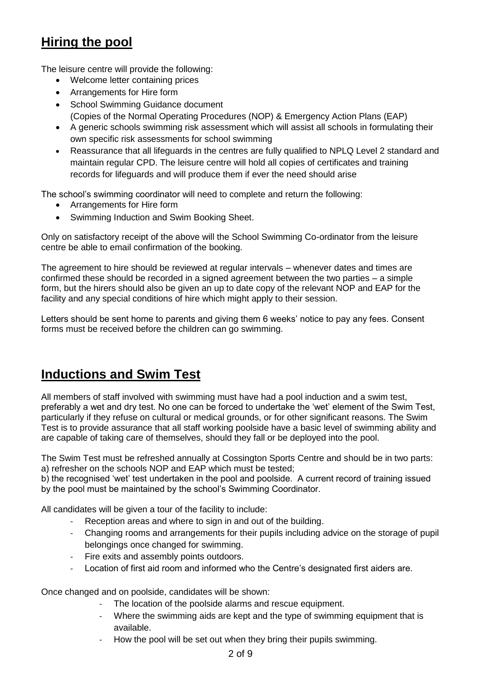# **Hiring the pool**

The leisure centre will provide the following:

- Welcome letter containing prices
- Arrangements for Hire form
- School Swimming Guidance document
	- (Copies of the Normal Operating Procedures (NOP) & Emergency Action Plans (EAP)
- A generic schools swimming risk assessment which will assist all schools in formulating their own specific risk assessments for school swimming
- Reassurance that all lifeguards in the centres are fully qualified to NPLQ Level 2 standard and maintain regular CPD. The leisure centre will hold all copies of certificates and training records for lifeguards and will produce them if ever the need should arise

The school's swimming coordinator will need to complete and return the following:

- Arrangements for Hire form
- Swimming Induction and Swim Booking Sheet.

Only on satisfactory receipt of the above will the School Swimming Co-ordinator from the leisure centre be able to email confirmation of the booking.

The agreement to hire should be reviewed at regular intervals – whenever dates and times are confirmed these should be recorded in a signed agreement between the two parties – a simple form, but the hirers should also be given an up to date copy of the relevant NOP and EAP for the facility and any special conditions of hire which might apply to their session.

Letters should be sent home to parents and giving them 6 weeks' notice to pay any fees. Consent forms must be received before the children can go swimming.

## **Inductions and Swim Test**

All members of staff involved with swimming must have had a pool induction and a swim test, preferably a wet and dry test. No one can be forced to undertake the 'wet' element of the Swim Test, particularly if they refuse on cultural or medical grounds, or for other significant reasons. The Swim Test is to provide assurance that all staff working poolside have a basic level of swimming ability and are capable of taking care of themselves, should they fall or be deployed into the pool.

The Swim Test must be refreshed annually at Cossington Sports Centre and should be in two parts: a) refresher on the schools NOP and EAP which must be tested;

b) the recognised 'wet' test undertaken in the pool and poolside. A current record of training issued by the pool must be maintained by the school's Swimming Coordinator.

All candidates will be given a tour of the facility to include:

- Reception areas and where to sign in and out of the building.
- Changing rooms and arrangements for their pupils including advice on the storage of pupil belongings once changed for swimming.
- Fire exits and assembly points outdoors.
- Location of first aid room and informed who the Centre's designated first aiders are.

Once changed and on poolside, candidates will be shown:

- The location of the poolside alarms and rescue equipment.
- Where the swimming aids are kept and the type of swimming equipment that is available.
- How the pool will be set out when they bring their pupils swimming.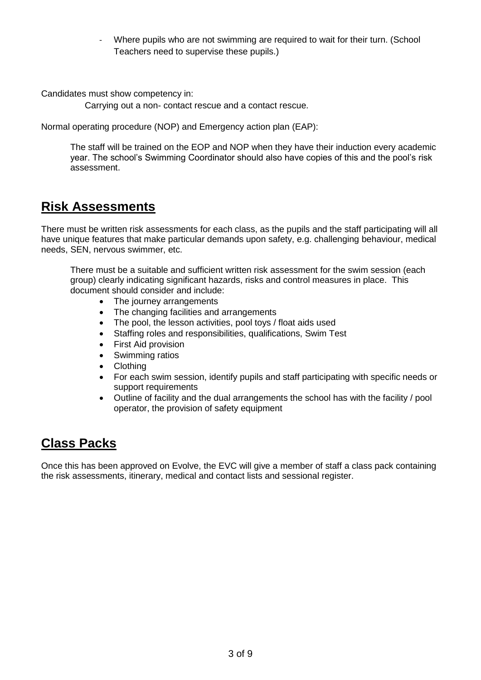Where pupils who are not swimming are required to wait for their turn. (School Teachers need to supervise these pupils.)

Candidates must show competency in:

Carrying out a non- contact rescue and a contact rescue.

Normal operating procedure (NOP) and Emergency action plan (EAP):

The staff will be trained on the EOP and NOP when they have their induction every academic year. The school's Swimming Coordinator should also have copies of this and the pool's risk assessment.

## **Risk Assessments**

There must be written risk assessments for each class, as the pupils and the staff participating will all have unique features that make particular demands upon safety, e.g. challenging behaviour, medical needs, SEN, nervous swimmer, etc.

There must be a suitable and sufficient written risk assessment for the swim session (each group) clearly indicating significant hazards, risks and control measures in place. This document should consider and include:

- The journey arrangements
- The changing facilities and arrangements
- The pool, the lesson activities, pool toys / float aids used
- Staffing roles and responsibilities, qualifications, Swim Test
- First Aid provision
- Swimming ratios
- Clothing
- For each swim session, identify pupils and staff participating with specific needs or support requirements
- Outline of facility and the dual arrangements the school has with the facility / pool operator, the provision of safety equipment

# **Class Packs**

Once this has been approved on Evolve, the EVC will give a member of staff a class pack containing the risk assessments, itinerary, medical and contact lists and sessional register.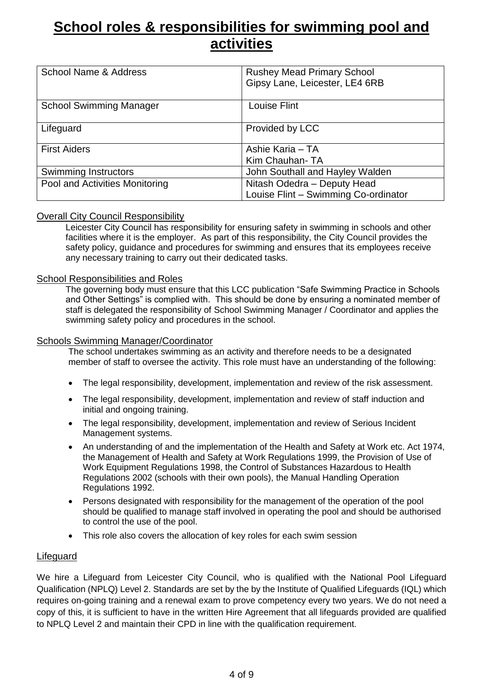# **School roles & responsibilities for swimming pool and activities**

| <b>School Name &amp; Address</b> | <b>Rushey Mead Primary School</b><br>Gipsy Lane, Leicester, LE4 6RB |
|----------------------------------|---------------------------------------------------------------------|
| <b>School Swimming Manager</b>   | <b>Louise Flint</b>                                                 |
| Lifeguard                        | Provided by LCC                                                     |
| <b>First Aiders</b>              | Ashie Karia - TA<br>Kim Chauhan-TA                                  |
| Swimming Instructors             | John Southall and Hayley Walden                                     |
| Pool and Activities Monitoring   | Nitash Odedra - Deputy Head<br>Louise Flint - Swimming Co-ordinator |

#### Overall City Council Responsibility

Leicester City Council has responsibility for ensuring safety in swimming in schools and other facilities where it is the employer. As part of this responsibility, the City Council provides the safety policy, guidance and procedures for swimming and ensures that its employees receive any necessary training to carry out their dedicated tasks.

#### School Responsibilities and Roles

The governing body must ensure that this LCC publication "Safe Swimming Practice in Schools and Other Settings" is complied with. This should be done by ensuring a nominated member of staff is delegated the responsibility of School Swimming Manager / Coordinator and applies the swimming safety policy and procedures in the school.

#### Schools Swimming Manager/Coordinator

The school undertakes swimming as an activity and therefore needs to be a designated member of staff to oversee the activity. This role must have an understanding of the following:

- The legal responsibility, development, implementation and review of the risk assessment.
- The legal responsibility, development, implementation and review of staff induction and initial and ongoing training.
- The legal responsibility, development, implementation and review of Serious Incident Management systems.
- An understanding of and the implementation of the Health and Safety at Work etc. Act 1974, the Management of Health and Safety at Work Regulations 1999, the Provision of Use of Work Equipment Regulations 1998, the Control of Substances Hazardous to Health Regulations 2002 (schools with their own pools), the Manual Handling Operation Regulations 1992.
- Persons designated with responsibility for the management of the operation of the pool should be qualified to manage staff involved in operating the pool and should be authorised to control the use of the pool.
- This role also covers the allocation of key roles for each swim session

#### Lifeguard

We hire a Lifeguard from Leicester City Council, who is qualified with the National Pool Lifeguard Qualification (NPLQ) Level 2. Standards are set by the by the Institute of Qualified Lifeguards (IQL) which requires on-going training and a renewal exam to prove competency every two years. We do not need a copy of this, it is sufficient to have in the written Hire Agreement that all lifeguards provided are qualified to NPLQ Level 2 and maintain their CPD in line with the qualification requirement.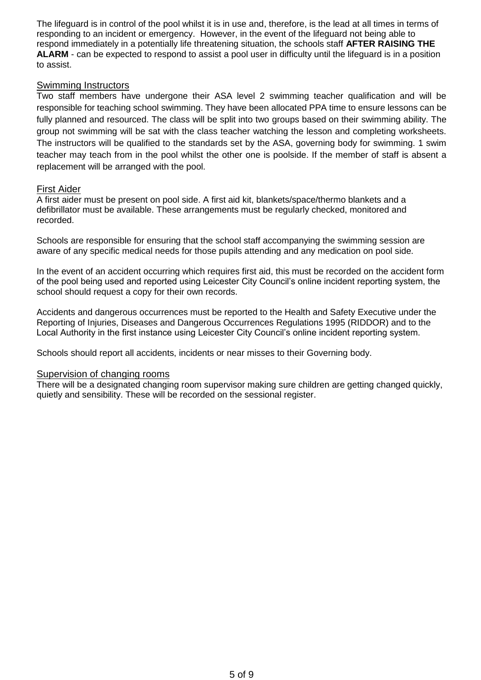The lifeguard is in control of the pool whilst it is in use and, therefore, is the lead at all times in terms of responding to an incident or emergency. However, in the event of the lifeguard not being able to respond immediately in a potentially life threatening situation, the schools staff **AFTER RAISING THE ALARM** - can be expected to respond to assist a pool user in difficulty until the lifeguard is in a position to assist.

#### **Swimming Instructors**

Two staff members have undergone their ASA level 2 swimming teacher qualification and will be responsible for teaching school swimming. They have been allocated PPA time to ensure lessons can be fully planned and resourced. The class will be split into two groups based on their swimming ability. The group not swimming will be sat with the class teacher watching the lesson and completing worksheets. The instructors will be qualified to the standards set by the ASA, governing body for swimming. 1 swim teacher may teach from in the pool whilst the other one is poolside. If the member of staff is absent a replacement will be arranged with the pool.

#### First Aider

A first aider must be present on pool side. A first aid kit, blankets/space/thermo blankets and a defibrillator must be available. These arrangements must be regularly checked, monitored and recorded.

Schools are responsible for ensuring that the school staff accompanying the swimming session are aware of any specific medical needs for those pupils attending and any medication on pool side.

In the event of an accident occurring which requires first aid, this must be recorded on the accident form of the pool being used and reported using Leicester City Council's online incident reporting system, the school should request a copy for their own records.

Accidents and dangerous occurrences must be reported to the Health and Safety Executive under the Reporting of Injuries, Diseases and Dangerous Occurrences Regulations 1995 (RIDDOR) and to the Local Authority in the first instance using Leicester City Council's online incident reporting system.

Schools should report all accidents, incidents or near misses to their Governing body.

#### Supervision of changing rooms

There will be a designated changing room supervisor making sure children are getting changed quickly, quietly and sensibility. These will be recorded on the sessional register.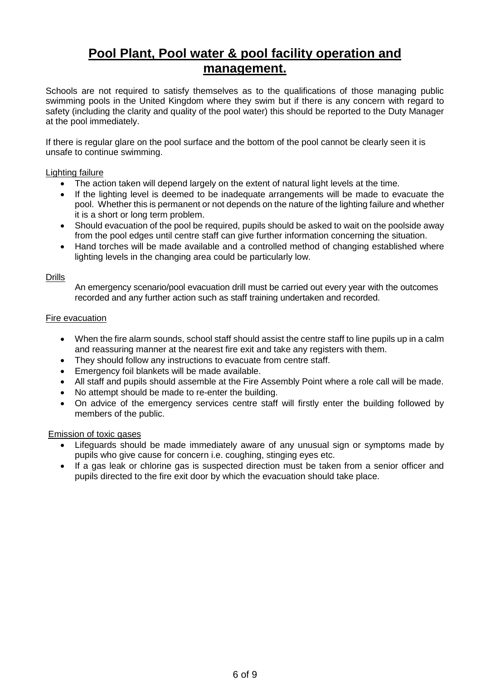# **Pool Plant, Pool water & pool facility operation and management.**

Schools are not required to satisfy themselves as to the qualifications of those managing public swimming pools in the United Kingdom where they swim but if there is any concern with regard to safety (including the clarity and quality of the pool water) this should be reported to the Duty Manager at the pool immediately.

If there is regular glare on the pool surface and the bottom of the pool cannot be clearly seen it is unsafe to continue swimming.

#### Lighting failure

- The action taken will depend largely on the extent of natural light levels at the time.
- If the lighting level is deemed to be inadequate arrangements will be made to evacuate the pool. Whether this is permanent or not depends on the nature of the lighting failure and whether it is a short or long term problem.
- Should evacuation of the pool be required, pupils should be asked to wait on the poolside away from the pool edges until centre staff can give further information concerning the situation.
- Hand torches will be made available and a controlled method of changing established where lighting levels in the changing area could be particularly low.

#### **Drills**

An emergency scenario/pool evacuation drill must be carried out every year with the outcomes recorded and any further action such as staff training undertaken and recorded.

#### Fire evacuation

- When the fire alarm sounds, school staff should assist the centre staff to line pupils up in a calm and reassuring manner at the nearest fire exit and take any registers with them.
- They should follow any instructions to evacuate from centre staff.
- Emergency foil blankets will be made available.
- All staff and pupils should assemble at the Fire Assembly Point where a role call will be made.
- No attempt should be made to re-enter the building.
- On advice of the emergency services centre staff will firstly enter the building followed by members of the public.

#### Emission of toxic gases

- Lifeguards should be made immediately aware of any unusual sign or symptoms made by pupils who give cause for concern i.e. coughing, stinging eyes etc.
- If a gas leak or chlorine gas is suspected direction must be taken from a senior officer and pupils directed to the fire exit door by which the evacuation should take place.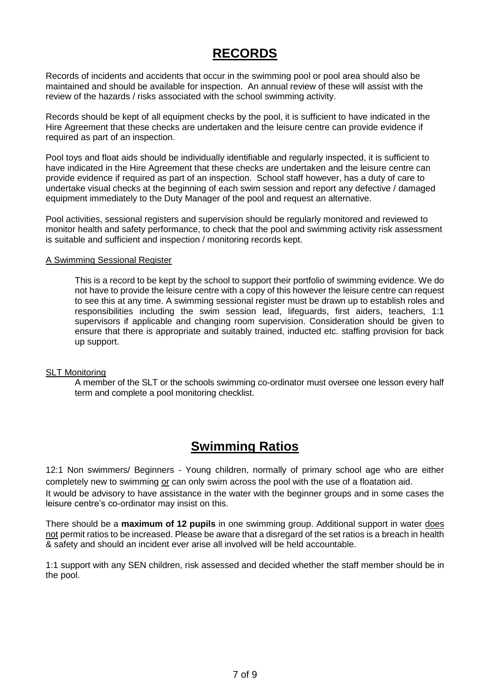# **RECORDS**

Records of incidents and accidents that occur in the swimming pool or pool area should also be maintained and should be available for inspection. An annual review of these will assist with the review of the hazards / risks associated with the school swimming activity.

Records should be kept of all equipment checks by the pool, it is sufficient to have indicated in the Hire Agreement that these checks are undertaken and the leisure centre can provide evidence if required as part of an inspection.

Pool toys and float aids should be individually identifiable and regularly inspected, it is sufficient to have indicated in the Hire Agreement that these checks are undertaken and the leisure centre can provide evidence if required as part of an inspection. School staff however, has a duty of care to undertake visual checks at the beginning of each swim session and report any defective / damaged equipment immediately to the Duty Manager of the pool and request an alternative.

Pool activities, sessional registers and supervision should be regularly monitored and reviewed to monitor health and safety performance, to check that the pool and swimming activity risk assessment is suitable and sufficient and inspection / monitoring records kept.

#### A Swimming Sessional Register

This is a record to be kept by the school to support their portfolio of swimming evidence. We do not have to provide the leisure centre with a copy of this however the leisure centre can request to see this at any time. A swimming sessional register must be drawn up to establish roles and responsibilities including the swim session lead, lifeguards, first aiders, teachers, 1:1 supervisors if applicable and changing room supervision. Consideration should be given to ensure that there is appropriate and suitably trained, inducted etc. staffing provision for back up support.

#### SLT Monitoring

A member of the SLT or the schools swimming co-ordinator must oversee one lesson every half term and complete a pool monitoring checklist.

## **Swimming Ratios**

12:1 Non swimmers/ Beginners *-* Young children, normally of primary school age who are either completely new to swimming or can only swim across the pool with the use of a floatation aid. It would be advisory to have assistance in the water with the beginner groups and in some cases the leisure centre's co-ordinator may insist on this.

There should be a **maximum of 12 pupils** in one swimming group. Additional support in water does not permit ratios to be increased. Please be aware that a disregard of the set ratios is a breach in health & safety and should an incident ever arise all involved will be held accountable.

1:1 support with any SEN children, risk assessed and decided whether the staff member should be in the pool.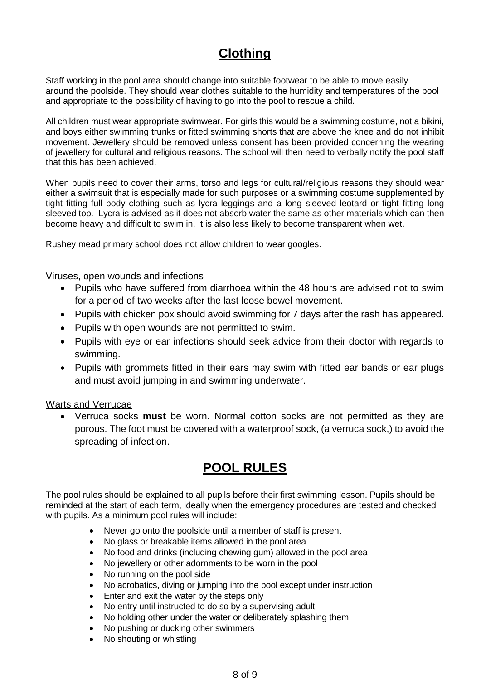# **Clothing**

Staff working in the pool area should change into suitable footwear to be able to move easily around the poolside. They should wear clothes suitable to the humidity and temperatures of the pool and appropriate to the possibility of having to go into the pool to rescue a child.

All children must wear appropriate swimwear. For girls this would be a swimming costume, not a bikini, and boys either swimming trunks or fitted swimming shorts that are above the knee and do not inhibit movement. Jewellery should be removed unless consent has been provided concerning the wearing of jewellery for cultural and religious reasons. The school will then need to verbally notify the pool staff that this has been achieved.

When pupils need to cover their arms, torso and legs for cultural/religious reasons they should wear either a swimsuit that is especially made for such purposes or a swimming costume supplemented by tight fitting full body clothing such as lycra leggings and a long sleeved leotard or tight fitting long sleeved top. Lycra is advised as it does not absorb water the same as other materials which can then become heavy and difficult to swim in. It is also less likely to become transparent when wet.

Rushey mead primary school does not allow children to wear googles.

#### Viruses, open wounds and infections

- Pupils who have suffered from diarrhoea within the 48 hours are advised not to swim for a period of two weeks after the last loose bowel movement.
- Pupils with chicken pox should avoid swimming for 7 days after the rash has appeared.
- Pupils with open wounds are not permitted to swim.
- Pupils with eye or ear infections should seek advice from their doctor with regards to swimming.
- Pupils with grommets fitted in their ears may swim with fitted ear bands or ear plugs and must avoid jumping in and swimming underwater.

#### Warts and Verrucae

 Verruca socks **must** be worn. Normal cotton socks are not permitted as they are porous. The foot must be covered with a waterproof sock, (a verruca sock,) to avoid the spreading of infection.

# **POOL RULES**

The pool rules should be explained to all pupils before their first swimming lesson. Pupils should be reminded at the start of each term, ideally when the emergency procedures are tested and checked with pupils. As a minimum pool rules will include:

- Never go onto the poolside until a member of staff is present
- No glass or breakable items allowed in the pool area
- No food and drinks (including chewing gum) allowed in the pool area
- No jewellery or other adornments to be worn in the pool
- No running on the pool side
- No acrobatics, diving or jumping into the pool except under instruction
- Enter and exit the water by the steps only
- No entry until instructed to do so by a supervising adult
- No holding other under the water or deliberately splashing them
- No pushing or ducking other swimmers
- No shouting or whistling